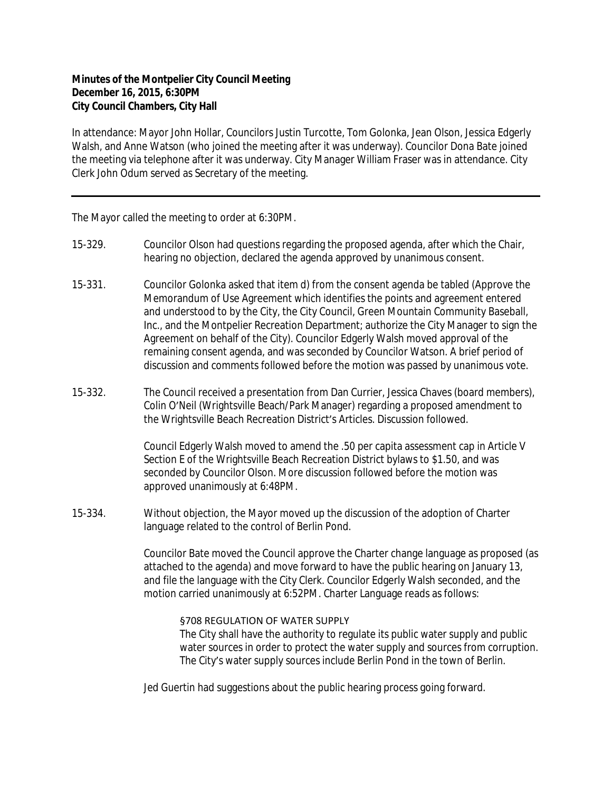## **Minutes of the Montpelier City Council Meeting December 16, 2015, 6:30PM City Council Chambers, City Hall**

In attendance: Mayor John Hollar, Councilors Justin Turcotte, Tom Golonka, Jean Olson, Jessica Edgerly Walsh, and Anne Watson (who joined the meeting after it was underway). Councilor Dona Bate joined the meeting via telephone after it was underway. City Manager William Fraser was in attendance. City Clerk John Odum served as Secretary of the meeting.

The Mayor called the meeting to order at 6:30PM.

- 15-329. Councilor Olson had questions regarding the proposed agenda, after which the Chair, hearing no objection, declared the agenda approved by unanimous consent.
- 15-331. Councilor Golonka asked that item d) from the consent agenda be tabled (Approve the Memorandum of Use Agreement which identifies the points and agreement entered and understood to by the City, the City Council, Green Mountain Community Baseball, Inc., and the Montpelier Recreation Department; authorize the City Manager to sign the Agreement on behalf of the City). Councilor Edgerly Walsh moved approval of the remaining consent agenda, and was seconded by Councilor Watson. A brief period of discussion and comments followed before the motion was passed by unanimous vote.
- 15-332. The Council received a presentation from Dan Currier, Jessica Chaves (board members), Colin O'Neil (Wrightsville Beach/Park Manager) regarding a proposed amendment to the Wrightsville Beach Recreation District's Articles. Discussion followed.

Council Edgerly Walsh moved to amend the .50 per capita assessment cap in Article V Section E of the Wrightsville Beach Recreation District bylaws to \$1.50, and was seconded by Councilor Olson. More discussion followed before the motion was approved unanimously at 6:48PM.

15-334. Without objection, the Mayor moved up the discussion of the adoption of Charter language related to the control of Berlin Pond.

> Councilor Bate moved the Council approve the Charter change language as proposed (as attached to the agenda) and move forward to have the public hearing on January 13, and file the language with the City Clerk. Councilor Edgerly Walsh seconded, and the motion carried unanimously at 6:52PM. Charter Language reads as follows:

## §708 REGULATION OF WATER SUPPLY

The City shall have the authority to regulate its public water supply and public water sources in order to protect the water supply and sources from corruption. The City's water supply sources include Berlin Pond in the town of Berlin.

Jed Guertin had suggestions about the public hearing process going forward.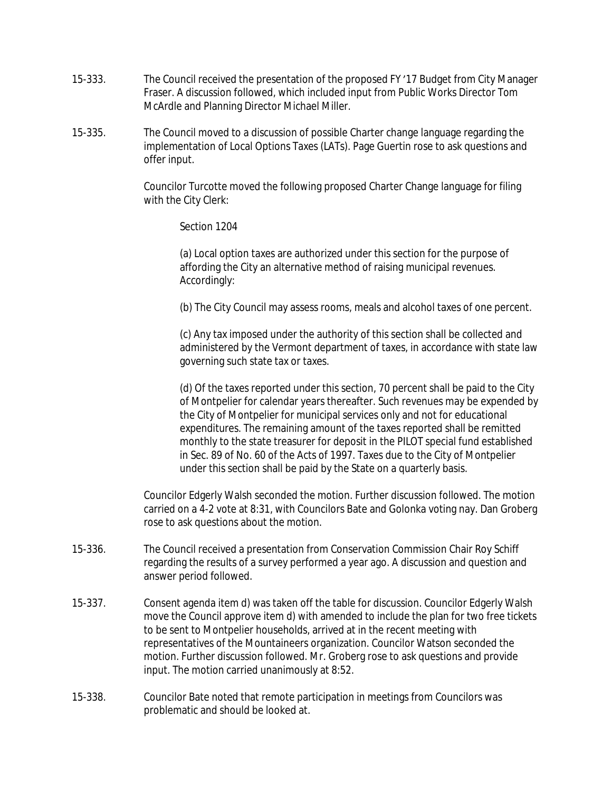- 15-333. The Council received the presentation of the proposed FY '17 Budget from City Manager Fraser. A discussion followed, which included input from Public Works Director Tom McArdle and Planning Director Michael Miller.
- 15-335. The Council moved to a discussion of possible Charter change language regarding the implementation of Local Options Taxes (LATs). Page Guertin rose to ask questions and offer input.

Councilor Turcotte moved the following proposed Charter Change language for filing with the City Clerk:

Section 1204

(a) Local option taxes are authorized under this section for the purpose of affording the City an alternative method of raising municipal revenues. Accordingly:

(b) The City Council may assess rooms, meals and alcohol taxes of one percent.

(c) Any tax imposed under the authority of this section shall be collected and administered by the Vermont department of taxes, in accordance with state law governing such state tax or taxes.

(d) Of the taxes reported under this section, 70 percent shall be paid to the City of Montpelier for calendar years thereafter. Such revenues may be expended by the City of Montpelier for municipal services only and not for educational expenditures. The remaining amount of the taxes reported shall be remitted monthly to the state treasurer for deposit in the PILOT special fund established in Sec. 89 of No. 60 of the Acts of 1997. Taxes due to the City of Montpelier under this section shall be paid by the State on a quarterly basis.

Councilor Edgerly Walsh seconded the motion. Further discussion followed. The motion carried on a 4-2 vote at 8:31, with Councilors Bate and Golonka voting nay. Dan Groberg rose to ask questions about the motion.

- 15-336. The Council received a presentation from Conservation Commission Chair Roy Schiff regarding the results of a survey performed a year ago. A discussion and question and answer period followed.
- 15-337. Consent agenda item d) was taken off the table for discussion. Councilor Edgerly Walsh move the Council approve item d) with amended to include the plan for two free tickets to be sent to Montpelier households, arrived at in the recent meeting with representatives of the Mountaineers organization. Councilor Watson seconded the motion. Further discussion followed. Mr. Groberg rose to ask questions and provide input. The motion carried unanimously at 8:52.
- 15-338. Councilor Bate noted that remote participation in meetings from Councilors was problematic and should be looked at.